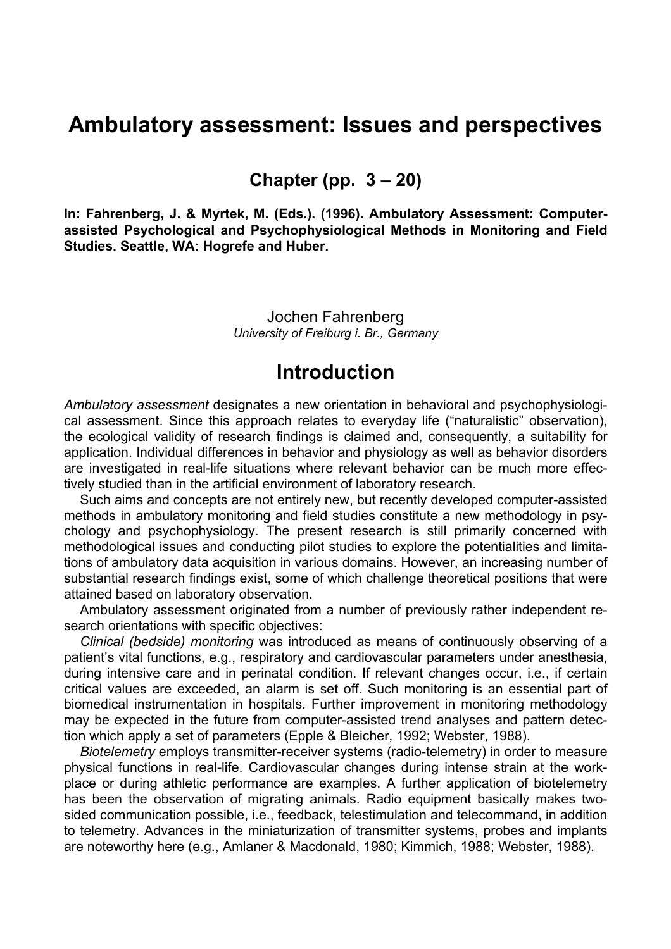# **Ambulatory assessment: Issues and perspectives**

**Chapter (pp. 3 – 20)** 

**In: Fahrenberg, J. & Myrtek, M. (Eds.). (1996). Ambulatory Assessment: Computerassisted Psychological and Psychophysiological Methods in Monitoring and Field Studies. Seattle, WA: Hogrefe and Huber.** 

> Jochen Fahrenberg *University of Freiburg i. Br., Germany*

## **Introduction**

*Ambulatory assessment* designates a new orientation in behavioral and psychophysiological assessment. Since this approach relates to everyday life ("naturalistic" observation), the ecological validity of research findings is claimed and, consequently, a suitability for application. Individual differences in behavior and physiology as well as behavior disorders are investigated in real-life situations where relevant behavior can be much more effectively studied than in the artificial environment of laboratory research.

Such aims and concepts are not entirely new, but recently developed computer-assisted methods in ambulatory monitoring and field studies constitute a new methodology in psychology and psychophysiology. The present research is still primarily concerned with methodological issues and conducting pilot studies to explore the potentialities and limitations of ambulatory data acquisition in various domains. However, an increasing number of substantial research findings exist, some of which challenge theoretical positions that were attained based on laboratory observation.

Ambulatory assessment originated from a number of previously rather independent research orientations with specific objectives:

*Clinical (bedside) monitoring* was introduced as means of continuously observing of a patient's vital functions, e.g., respiratory and cardiovascular parameters under anesthesia, during intensive care and in perinatal condition. If relevant changes occur, i.e., if certain critical values are exceeded, an alarm is set off. Such monitoring is an essential part of biomedical instrumentation in hospitals. Further improvement in monitoring methodology may be expected in the future from computer-assisted trend analyses and pattern detection which apply a set of parameters (Epple & Bleicher, 1992; Webster, 1988).

*Biotelemetry* employs transmitter-receiver systems (radio-telemetry) in order to measure physical functions in real-life. Cardiovascular changes during intense strain at the workplace or during athletic performance are examples. A further application of biotelemetry has been the observation of migrating animals. Radio equipment basically makes twosided communication possible, i.e., feedback, telestimulation and telecommand, in addition to telemetry. Advances in the miniaturization of transmitter systems, probes and implants are noteworthy here (e.g., Amlaner & Macdonald, 1980; Kimmich, 1988; Webster, 1988).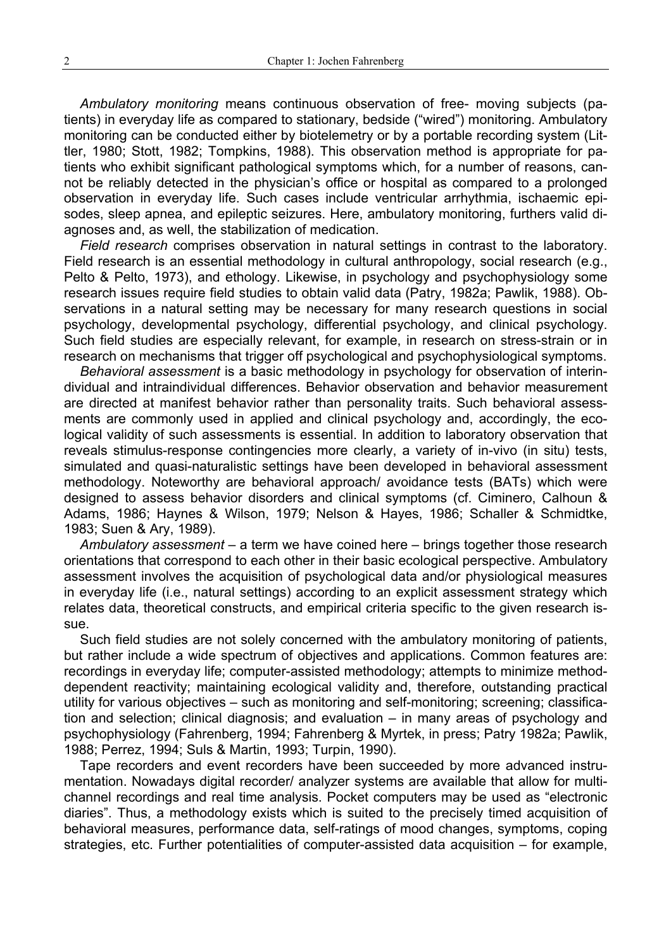*Ambulatory monitoring* means continuous observation of free- moving subjects (patients) in everyday life as compared to stationary, bedside ("wired") monitoring. Ambulatory monitoring can be conducted either by biotelemetry or by a portable recording system (Littler, 1980; Stott, 1982; Tompkins, 1988). This observation method is appropriate for patients who exhibit significant pathological symptoms which, for a number of reasons, cannot be reliably detected in the physician's office or hospital as compared to a prolonged observation in everyday life. Such cases include ventricular arrhythmia, ischaemic episodes, sleep apnea, and epileptic seizures. Here, ambulatory monitoring, furthers valid diagnoses and, as well, the stabilization of medication.

*Field research* comprises observation in natural settings in contrast to the laboratory. Field research is an essential methodology in cultural anthropology, social research (e.g., Pelto & Pelto, 1973), and ethology. Likewise, in psychology and psychophysiology some research issues require field studies to obtain valid data (Patry, 1982a; Pawlik, 1988). Observations in a natural setting may be necessary for many research questions in social psychology, developmental psychology, differential psychology, and clinical psychology. Such field studies are especially relevant, for example, in research on stress-strain or in research on mechanisms that trigger off psychological and psychophysiological symptoms.

*Behavioral assessment* is a basic methodology in psychology for observation of interindividual and intraindividual differences. Behavior observation and behavior measurement are directed at manifest behavior rather than personality traits. Such behavioral assessments are commonly used in applied and clinical psychology and, accordingly, the ecological validity of such assessments is essential. In addition to laboratory observation that reveals stimulus-response contingencies more clearly, a variety of in-vivo (in situ) tests, simulated and quasi-naturalistic settings have been developed in behavioral assessment methodology. Noteworthy are behavioral approach/ avoidance tests (BATs) which were designed to assess behavior disorders and clinical symptoms (cf. Ciminero, Calhoun & Adams, 1986; Haynes & Wilson, 1979; Nelson & Hayes, 1986; Schaller & Schmidtke, 1983; Suen & Ary, 1989).

*Ambulatory assessment* – a term we have coined here – brings together those research orientations that correspond to each other in their basic ecological perspective. Ambulatory assessment involves the acquisition of psychological data and/or physiological measures in everyday life (i.e., natural settings) according to an explicit assessment strategy which relates data, theoretical constructs, and empirical criteria specific to the given research issue.

Such field studies are not solely concerned with the ambulatory monitoring of patients, but rather include a wide spectrum of objectives and applications. Common features are: recordings in everyday life; computer-assisted methodology; attempts to minimize methoddependent reactivity; maintaining ecological validity and, therefore, outstanding practical utility for various objectives – such as monitoring and self-monitoring; screening; classification and selection; clinical diagnosis; and evaluation – in many areas of psychology and psychophysiology (Fahrenberg, 1994; Fahrenberg & Myrtek, in press; Patry 1982a; Pawlik, 1988; Perrez, 1994; Suls & Martin, 1993; Turpin, 1990).

Tape recorders and event recorders have been succeeded by more advanced instrumentation. Nowadays digital recorder/ analyzer systems are available that allow for multichannel recordings and real time analysis. Pocket computers may be used as "electronic diaries". Thus, a methodology exists which is suited to the precisely timed acquisition of behavioral measures, performance data, self-ratings of mood changes, symptoms, coping strategies, etc. Further potentialities of computer-assisted data acquisition – for example,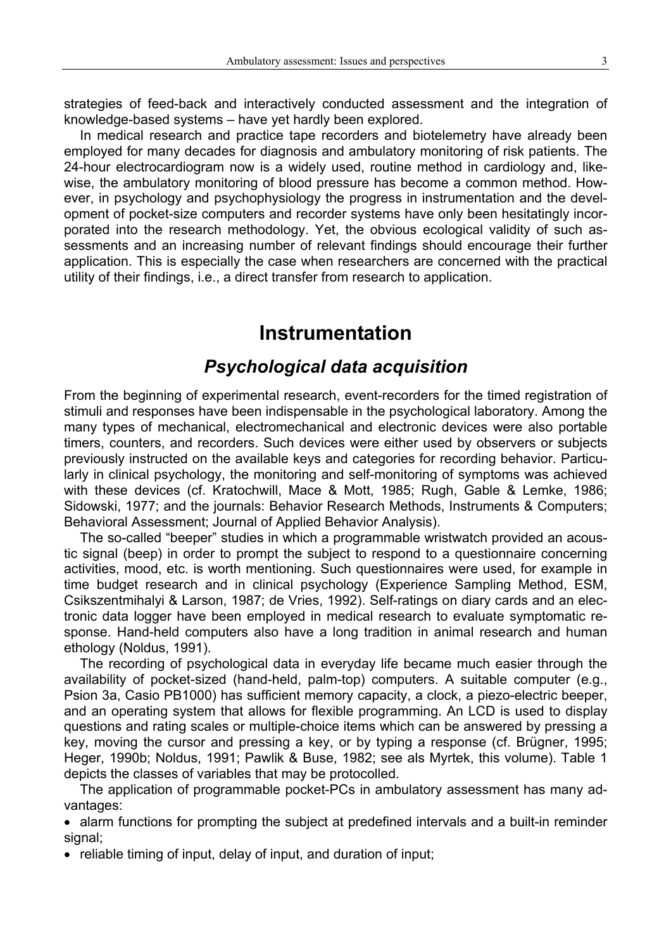strategies of feed-back and interactively conducted assessment and the integration of knowledge-based systems – have yet hardly been explored.

In medical research and practice tape recorders and biotelemetry have already been employed for many decades for diagnosis and ambulatory monitoring of risk patients. The 24-hour electrocardiogram now is a widely used, routine method in cardiology and, likewise, the ambulatory monitoring of blood pressure has become a common method. However, in psychology and psychophysiology the progress in instrumentation and the development of pocket-size computers and recorder systems have only been hesitatingly incorporated into the research methodology. Yet, the obvious ecological validity of such assessments and an increasing number of relevant findings should encourage their further application. This is especially the case when researchers are concerned with the practical utility of their findings, i.e., a direct transfer from research to application.

# **Instrumentation**

### *Psychological data acquisition*

From the beginning of experimental research, event-recorders for the timed registration of stimuli and responses have been indispensable in the psychological laboratory. Among the many types of mechanical, electromechanical and electronic devices were also portable timers, counters, and recorders. Such devices were either used by observers or subjects previously instructed on the available keys and categories for recording behavior. Particularly in clinical psychology, the monitoring and self-monitoring of symptoms was achieved with these devices (cf. Kratochwill, Mace & Mott, 1985; Rugh, Gable & Lemke, 1986; Sidowski, 1977; and the journals: Behavior Research Methods, Instruments & Computers; Behavioral Assessment; Journal of Applied Behavior Analysis).

The so-called "beeper" studies in which a programmable wristwatch provided an acoustic signal (beep) in order to prompt the subject to respond to a questionnaire concerning activities, mood, etc. is worth mentioning. Such questionnaires were used, for example in time budget research and in clinical psychology (Experience Sampling Method, ESM, Csikszentmihalyi & Larson, 1987; de Vries, 1992). Self-ratings on diary cards and an electronic data logger have been employed in medical research to evaluate symptomatic response. Hand-held computers also have a long tradition in animal research and human ethology (Noldus, 1991).

The recording of psychological data in everyday life became much easier through the availability of pocket-sized (hand-held, palm-top) computers. A suitable computer (e.g., Psion 3a, Casio PB1000) has sufficient memory capacity, a clock, a piezo-electric beeper, and an operating system that allows for flexible programming. An LCD is used to display questions and rating scales or multiple-choice items which can be answered by pressing a key, moving the cursor and pressing a key, or by typing a response (cf. Brügner, 1995; Heger, 1990b; Noldus, 1991; Pawlik & Buse, 1982; see als Myrtek, this volume). Table 1 depicts the classes of variables that may be protocolled.

The application of programmable pocket-PCs in ambulatory assessment has many advantages:

• alarm functions for prompting the subject at predefined intervals and a built-in reminder signal;

• reliable timing of input, delay of input, and duration of input;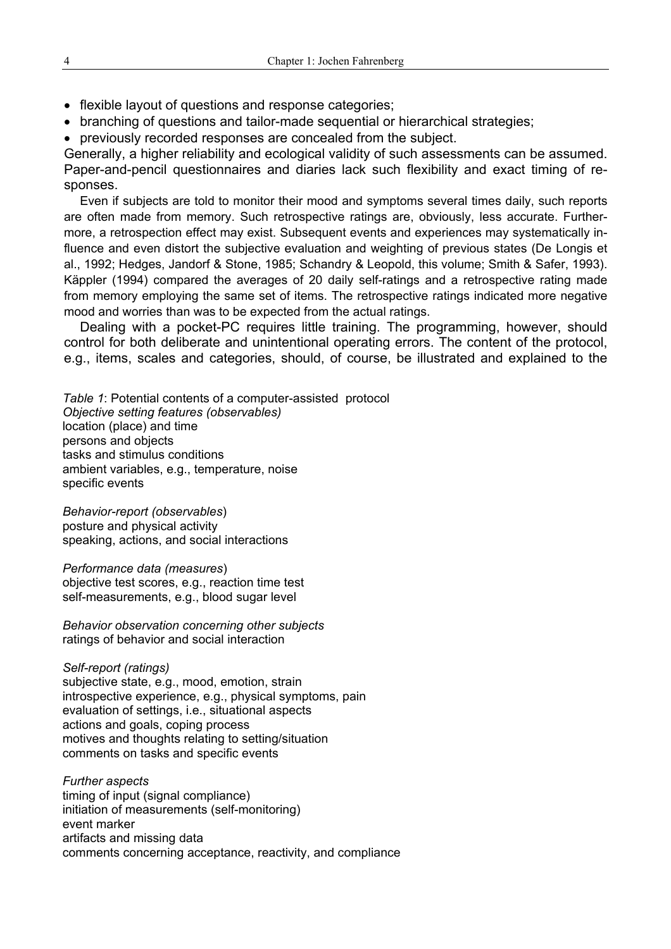- flexible layout of questions and response categories;
- branching of questions and tailor-made sequential or hierarchical strategies;
- previously recorded responses are concealed from the subject.

Generally, a higher reliability and ecological validity of such assessments can be assumed. Paper-and-pencil questionnaires and diaries lack such flexibility and exact timing of responses.

Even if subjects are told to monitor their mood and symptoms several times daily, such reports are often made from memory. Such retrospective ratings are, obviously, less accurate. Furthermore, a retrospection effect may exist. Subsequent events and experiences may systematically influence and even distort the subjective evaluation and weighting of previous states (De Longis et al., 1992; Hedges, Jandorf & Stone, 1985; Schandry & Leopold, this volume; Smith & Safer, 1993). Käppler (1994) compared the averages of 20 daily self-ratings and a retrospective rating made from memory employing the same set of items. The retrospective ratings indicated more negative mood and worries than was to be expected from the actual ratings.

Dealing with a pocket-PC requires little training. The programming, however, should control for both deliberate and unintentional operating errors. The content of the protocol, e.g., items, scales and categories, should, of course, be illustrated and explained to the

*Table 1*: Potential contents of a computer-assisted protocol *Objective setting features (observables)* location (place) and time persons and objects tasks and stimulus conditions ambient variables, e.g., temperature, noise specific events

*Behavior-report (observables*) posture and physical activity speaking, actions, and social interactions

*Performance data (measures*)

objective test scores, e.g., reaction time test self-measurements, e.g., blood sugar level

*Behavior observation concerning other subjects* ratings of behavior and social interaction

#### *Self-report (ratings)*

subjective state, e.g., mood, emotion, strain introspective experience, e.g., physical symptoms, pain evaluation of settings, i.e., situational aspects actions and goals, coping process motives and thoughts relating to setting/situation comments on tasks and specific events

*Further aspects* timing of input (signal compliance) initiation of measurements (self-monitoring) event marker artifacts and missing data comments concerning acceptance, reactivity, and compliance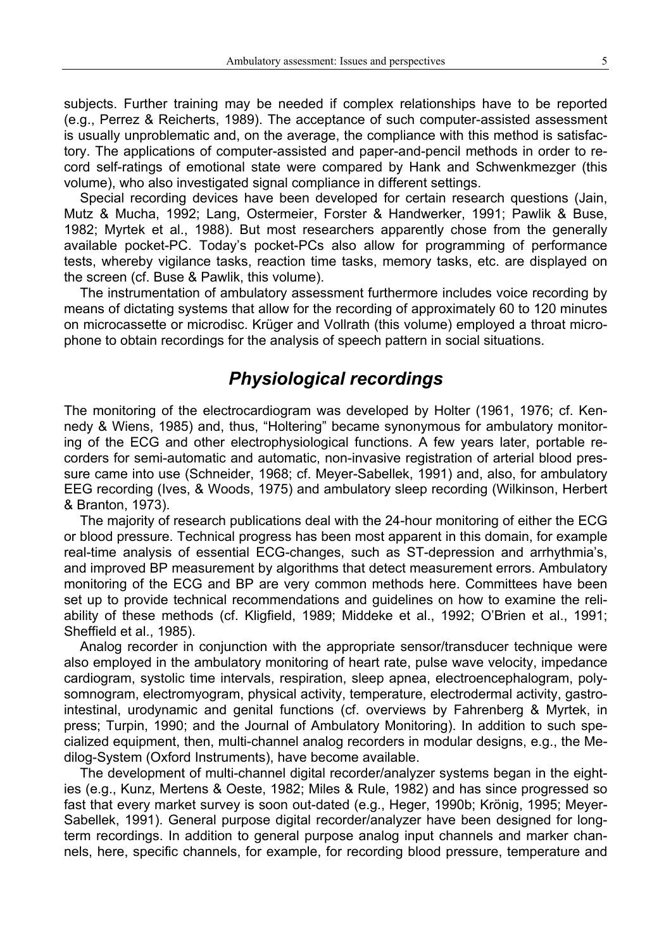subjects. Further training may be needed if complex relationships have to be reported (e.g., Perrez & Reicherts, 1989). The acceptance of such computer-assisted assessment is usually unproblematic and, on the average, the compliance with this method is satisfactory. The applications of computer-assisted and paper-and-pencil methods in order to record self-ratings of emotional state were compared by Hank and Schwenkmezger (this volume), who also investigated signal compliance in different settings.

Special recording devices have been developed for certain research questions (Jain, Mutz & Mucha, 1992; Lang, Ostermeier, Forster & Handwerker, 1991; Pawlik & Buse, 1982; Myrtek et al., 1988). But most researchers apparently chose from the generally available pocket-PC. Today's pocket-PCs also allow for programming of performance tests, whereby vigilance tasks, reaction time tasks, memory tasks, etc. are displayed on the screen (cf. Buse & Pawlik, this volume).

The instrumentation of ambulatory assessment furthermore includes voice recording by means of dictating systems that allow for the recording of approximately 60 to 120 minutes on microcassette or microdisc. Krüger and Vollrath (this volume) employed a throat microphone to obtain recordings for the analysis of speech pattern in social situations.

### *Physiological recordings*

The monitoring of the electrocardiogram was developed by Holter (1961, 1976; cf. Kennedy & Wiens, 1985) and, thus, "Holtering" became synonymous for ambulatory monitoring of the ECG and other electrophysiological functions. A few years later, portable recorders for semi-automatic and automatic, non-invasive registration of arterial blood pressure came into use (Schneider, 1968; cf. Meyer-Sabellek, 1991) and, also, for ambulatory EEG recording (Ives, & Woods, 1975) and ambulatory sleep recording (Wilkinson, Herbert & Branton, 1973).

The majority of research publications deal with the 24-hour monitoring of either the ECG or blood pressure. Technical progress has been most apparent in this domain, for example real-time analysis of essential ECG-changes, such as ST-depression and arrhythmia's, and improved BP measurement by algorithms that detect measurement errors. Ambulatory monitoring of the ECG and BP are very common methods here. Committees have been set up to provide technical recommendations and guidelines on how to examine the reliability of these methods (cf. Kligfield, 1989; Middeke et al., 1992; O'Brien et al., 1991; Sheffield et al., 1985).

Analog recorder in conjunction with the appropriate sensor/transducer technique were also employed in the ambulatory monitoring of heart rate, pulse wave velocity, impedance cardiogram, systolic time intervals, respiration, sleep apnea, electroencephalogram, polysomnogram, electromyogram, physical activity, temperature, electrodermal activity, gastrointestinal, urodynamic and genital functions (cf. overviews by Fahrenberg & Myrtek, in press; Turpin, 1990; and the Journal of Ambulatory Monitoring). In addition to such specialized equipment, then, multi-channel analog recorders in modular designs, e.g., the Medilog-System (Oxford Instruments), have become available.

The development of multi-channel digital recorder/analyzer systems began in the eighties (e.g., Kunz, Mertens & Oeste, 1982; Miles & Rule, 1982) and has since progressed so fast that every market survey is soon out-dated (e.g., Heger, 1990b; Krönig, 1995; Meyer-Sabellek, 1991). General purpose digital recorder/analyzer have been designed for longterm recordings. In addition to general purpose analog input channels and marker channels, here, specific channels, for example, for recording blood pressure, temperature and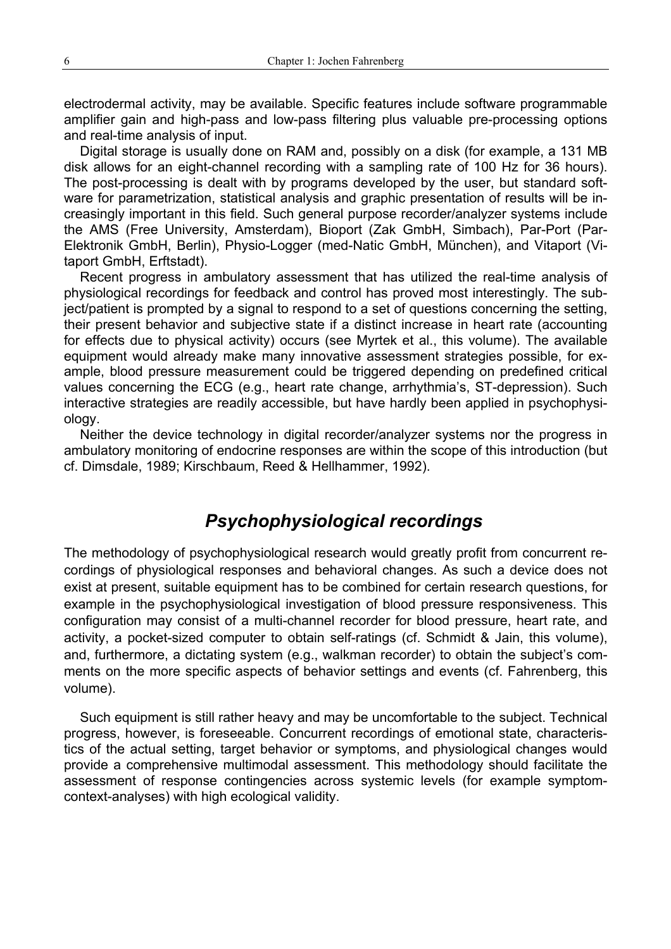electrodermal activity, may be available. Specific features include software programmable amplifier gain and high-pass and low-pass filtering plus valuable pre-processing options and real-time analysis of input.

Digital storage is usually done on RAM and, possibly on a disk (for example, a 131 MB disk allows for an eight-channel recording with a sampling rate of 100 Hz for 36 hours). The post-processing is dealt with by programs developed by the user, but standard software for parametrization, statistical analysis and graphic presentation of results will be increasingly important in this field. Such general purpose recorder/analyzer systems include the AMS (Free University, Amsterdam), Bioport (Zak GmbH, Simbach), Par-Port (Par-Elektronik GmbH, Berlin), Physio-Logger (med-Natic GmbH, München), and Vitaport (Vitaport GmbH, Erftstadt).

Recent progress in ambulatory assessment that has utilized the real-time analysis of physiological recordings for feedback and control has proved most interestingly. The subject/patient is prompted by a signal to respond to a set of questions concerning the setting, their present behavior and subjective state if a distinct increase in heart rate (accounting for effects due to physical activity) occurs (see Myrtek et al., this volume). The available equipment would already make many innovative assessment strategies possible, for example, blood pressure measurement could be triggered depending on predefined critical values concerning the ECG (e.g., heart rate change, arrhythmia's, ST-depression). Such interactive strategies are readily accessible, but have hardly been applied in psychophysiology.

Neither the device technology in digital recorder/analyzer systems nor the progress in ambulatory monitoring of endocrine responses are within the scope of this introduction (but cf. Dimsdale, 1989; Kirschbaum, Reed & Hellhammer, 1992).

### *Psychophysiological recordings*

The methodology of psychophysiological research would greatly profit from concurrent recordings of physiological responses and behavioral changes. As such a device does not exist at present, suitable equipment has to be combined for certain research questions, for example in the psychophysiological investigation of blood pressure responsiveness. This configuration may consist of a multi-channel recorder for blood pressure, heart rate, and activity, a pocket-sized computer to obtain self-ratings (cf. Schmidt & Jain, this volume), and, furthermore, a dictating system (e.g., walkman recorder) to obtain the subject's comments on the more specific aspects of behavior settings and events (cf. Fahrenberg, this volume).

Such equipment is still rather heavy and may be uncomfortable to the subject. Technical progress, however, is foreseeable. Concurrent recordings of emotional state, characteristics of the actual setting, target behavior or symptoms, and physiological changes would provide a comprehensive multimodal assessment. This methodology should facilitate the assessment of response contingencies across systemic levels (for example symptomcontext-analyses) with high ecological validity.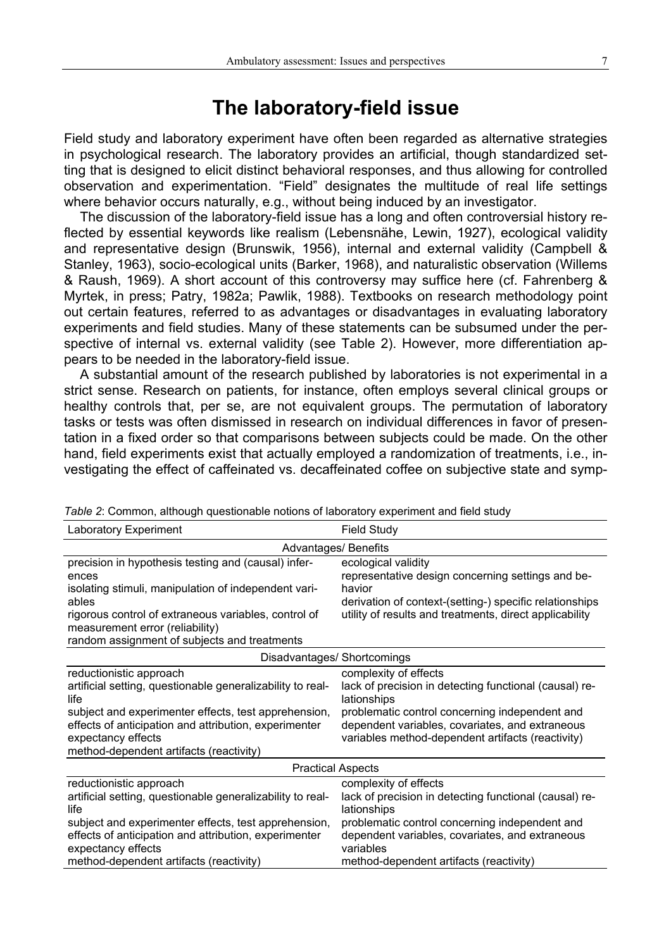## **The laboratory-field issue**

Field study and laboratory experiment have often been regarded as alternative strategies in psychological research. The laboratory provides an artificial, though standardized setting that is designed to elicit distinct behavioral responses, and thus allowing for controlled observation and experimentation. "Field" designates the multitude of real life settings where behavior occurs naturally, e.g., without being induced by an investigator.

The discussion of the laboratory-field issue has a long and often controversial history reflected by essential keywords like realism (Lebensnähe, Lewin, 1927), ecological validity and representative design (Brunswik, 1956), internal and external validity (Campbell & Stanley, 1963), socio-ecological units (Barker, 1968), and naturalistic observation (Willems & Raush, 1969). A short account of this controversy may suffice here (cf. Fahrenberg & Myrtek, in press; Patry, 1982a; Pawlik, 1988). Textbooks on research methodology point out certain features, referred to as advantages or disadvantages in evaluating laboratory experiments and field studies. Many of these statements can be subsumed under the perspective of internal vs. external validity (see Table 2). However, more differentiation appears to be needed in the laboratory-field issue.

A substantial amount of the research published by laboratories is not experimental in a strict sense. Research on patients, for instance, often employs several clinical groups or healthy controls that, per se, are not equivalent groups. The permutation of laboratory tasks or tests was often dismissed in research on individual differences in favor of presentation in a fixed order so that comparisons between subjects could be made. On the other hand, field experiments exist that actually employed a randomization of treatments, i.e., investigating the effect of caffeinated vs. decaffeinated coffee on subjective state and symp-

| <b>Laboratory Experiment</b>                                                                                                                                                                                                                                                    | <b>Field Study</b>                                                                                                                                                                                                                                          |
|---------------------------------------------------------------------------------------------------------------------------------------------------------------------------------------------------------------------------------------------------------------------------------|-------------------------------------------------------------------------------------------------------------------------------------------------------------------------------------------------------------------------------------------------------------|
| <b>Advantages/ Benefits</b>                                                                                                                                                                                                                                                     |                                                                                                                                                                                                                                                             |
| precision in hypothesis testing and (causal) infer-<br>ences<br>isolating stimuli, manipulation of independent vari-<br>ables<br>rigorous control of extraneous variables, control of<br>measurement error (reliability)<br>random assignment of subjects and treatments        | ecological validity<br>representative design concerning settings and be-<br>havior<br>derivation of context-(setting-) specific relationships<br>utility of results and treatments, direct applicability                                                    |
| Disadvantages/ Shortcomings                                                                                                                                                                                                                                                     |                                                                                                                                                                                                                                                             |
| reductionistic approach<br>artificial setting, questionable generalizability to real-<br>life<br>subject and experimenter effects, test apprehension,<br>effects of anticipation and attribution, experimenter<br>expectancy effects<br>method-dependent artifacts (reactivity) | complexity of effects<br>lack of precision in detecting functional (causal) re-<br>lationships<br>problematic control concerning independent and<br>dependent variables, covariates, and extraneous<br>variables method-dependent artifacts (reactivity)    |
| <b>Practical Aspects</b>                                                                                                                                                                                                                                                        |                                                                                                                                                                                                                                                             |
| reductionistic approach<br>artificial setting, questionable generalizability to real-<br>life<br>subject and experimenter effects, test apprehension,<br>effects of anticipation and attribution, experimenter<br>expectancy effects<br>method-dependent artifacts (reactivity) | complexity of effects<br>lack of precision in detecting functional (causal) re-<br>lationships<br>problematic control concerning independent and<br>dependent variables, covariates, and extraneous<br>variables<br>method-dependent artifacts (reactivity) |

*Table 2*: Common, although questionable notions of laboratory experiment and field study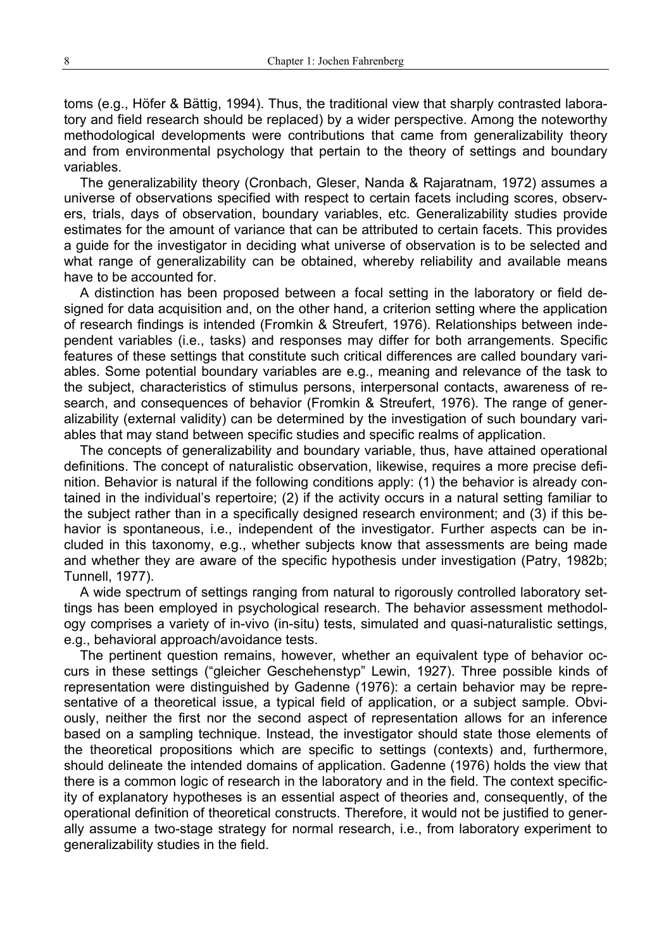toms (e.g., Höfer & Bättig, 1994). Thus, the traditional view that sharply contrasted laboratory and field research should be replaced) by a wider perspective. Among the noteworthy methodological developments were contributions that came from generalizability theory and from environmental psychology that pertain to the theory of settings and boundary variables.

The generalizability theory (Cronbach, Gleser, Nanda & Rajaratnam, 1972) assumes a universe of observations specified with respect to certain facets including scores, observers, trials, days of observation, boundary variables, etc. Generalizability studies provide estimates for the amount of variance that can be attributed to certain facets. This provides a guide for the investigator in deciding what universe of observation is to be selected and what range of generalizability can be obtained, whereby reliability and available means have to be accounted for.

A distinction has been proposed between a focal setting in the laboratory or field designed for data acquisition and, on the other hand, a criterion setting where the application of research findings is intended (Fromkin & Streufert, 1976). Relationships between independent variables (i.e., tasks) and responses may differ for both arrangements. Specific features of these settings that constitute such critical differences are called boundary variables. Some potential boundary variables are e.g., meaning and relevance of the task to the subject, characteristics of stimulus persons, interpersonal contacts, awareness of research, and consequences of behavior (Fromkin & Streufert, 1976). The range of generalizability (external validity) can be determined by the investigation of such boundary variables that may stand between specific studies and specific realms of application.

The concepts of generalizability and boundary variable, thus, have attained operational definitions. The concept of naturalistic observation, likewise, requires a more precise definition. Behavior is natural if the following conditions apply: (1) the behavior is already contained in the individual's repertoire; (2) if the activity occurs in a natural setting familiar to the subject rather than in a specifically designed research environment; and (3) if this behavior is spontaneous, i.e., independent of the investigator. Further aspects can be included in this taxonomy, e.g., whether subjects know that assessments are being made and whether they are aware of the specific hypothesis under investigation (Patry, 1982b; Tunnell, 1977).

A wide spectrum of settings ranging from natural to rigorously controlled laboratory settings has been employed in psychological research. The behavior assessment methodology comprises a variety of in-vivo (in-situ) tests, simulated and quasi-naturalistic settings, e.g., behavioral approach/avoidance tests.

The pertinent question remains, however, whether an equivalent type of behavior occurs in these settings ("gleicher Geschehenstyp" Lewin, 1927). Three possible kinds of representation were distinguished by Gadenne (1976): a certain behavior may be representative of a theoretical issue, a typical field of application, or a subject sample. Obviously, neither the first nor the second aspect of representation allows for an inference based on a sampling technique. Instead, the investigator should state those elements of the theoretical propositions which are specific to settings (contexts) and, furthermore, should delineate the intended domains of application. Gadenne (1976) holds the view that there is a common logic of research in the laboratory and in the field. The context specificity of explanatory hypotheses is an essential aspect of theories and, consequently, of the operational definition of theoretical constructs. Therefore, it would not be justified to generally assume a two-stage strategy for normal research, i.e., from laboratory experiment to generalizability studies in the field.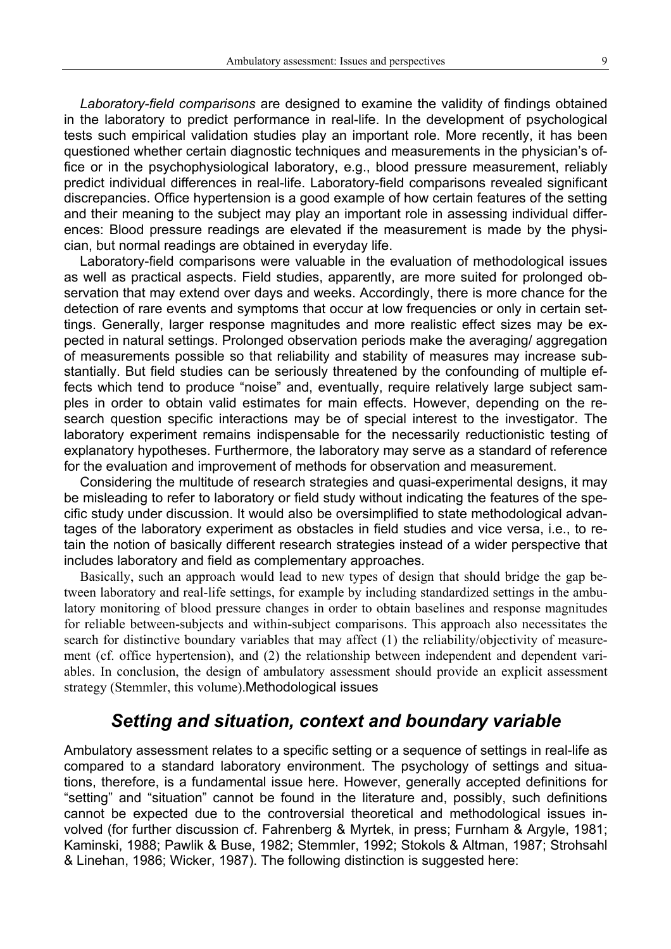*Laboratory-field comparisons* are designed to examine the validity of findings obtained in the laboratory to predict performance in real-life. In the development of psychological tests such empirical validation studies play an important role. More recently, it has been questioned whether certain diagnostic techniques and measurements in the physician's office or in the psychophysiological laboratory, e.g., blood pressure measurement, reliably predict individual differences in real-life. Laboratory-field comparisons revealed significant discrepancies. Office hypertension is a good example of how certain features of the setting and their meaning to the subject may play an important role in assessing individual differences: Blood pressure readings are elevated if the measurement is made by the physician, but normal readings are obtained in everyday life.

Laboratory-field comparisons were valuable in the evaluation of methodological issues as well as practical aspects. Field studies, apparently, are more suited for prolonged observation that may extend over days and weeks. Accordingly, there is more chance for the detection of rare events and symptoms that occur at low frequencies or only in certain settings. Generally, larger response magnitudes and more realistic effect sizes may be expected in natural settings. Prolonged observation periods make the averaging/ aggregation of measurements possible so that reliability and stability of measures may increase substantially. But field studies can be seriously threatened by the confounding of multiple effects which tend to produce "noise" and, eventually, require relatively large subject samples in order to obtain valid estimates for main effects. However, depending on the research question specific interactions may be of special interest to the investigator. The laboratory experiment remains indispensable for the necessarily reductionistic testing of explanatory hypotheses. Furthermore, the laboratory may serve as a standard of reference for the evaluation and improvement of methods for observation and measurement.

Considering the multitude of research strategies and quasi-experimental designs, it may be misleading to refer to laboratory or field study without indicating the features of the specific study under discussion. It would also be oversimplified to state methodological advantages of the laboratory experiment as obstacles in field studies and vice versa, i.e., to retain the notion of basically different research strategies instead of a wider perspective that includes laboratory and field as complementary approaches.

Basically, such an approach would lead to new types of design that should bridge the gap between laboratory and real-life settings, for example by including standardized settings in the ambulatory monitoring of blood pressure changes in order to obtain baselines and response magnitudes for reliable between-subjects and within-subject comparisons. This approach also necessitates the search for distinctive boundary variables that may affect (1) the reliability/objectivity of measurement (cf. office hypertension), and (2) the relationship between independent and dependent variables. In conclusion, the design of ambulatory assessment should provide an explicit assessment strategy (Stemmler, this volume).Methodological issues

### *Setting and situation, context and boundary variable*

Ambulatory assessment relates to a specific setting or a sequence of settings in real-life as compared to a standard laboratory environment. The psychology of settings and situations, therefore, is a fundamental issue here. However, generally accepted definitions for "setting" and "situation" cannot be found in the literature and, possibly, such definitions cannot be expected due to the controversial theoretical and methodological issues involved (for further discussion cf. Fahrenberg & Myrtek, in press; Furnham & Argyle, 1981; Kaminski, 1988; Pawlik & Buse, 1982; Stemmler, 1992; Stokols & Altman, 1987; Strohsahl & Linehan, 1986; Wicker, 1987). The following distinction is suggested here: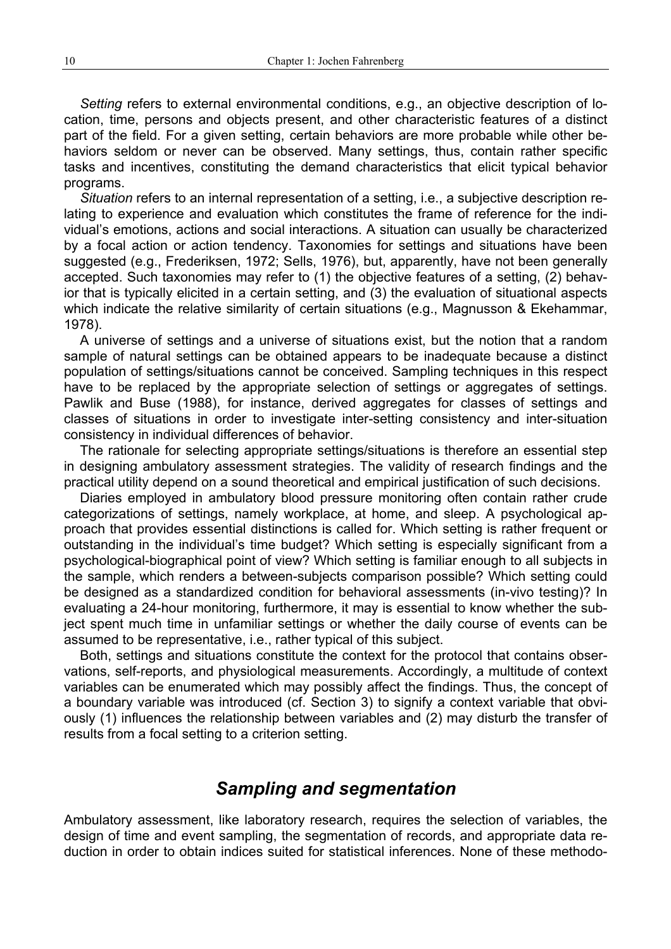*Setting* refers to external environmental conditions, e.g., an objective description of location, time, persons and objects present, and other characteristic features of a distinct part of the field. For a given setting, certain behaviors are more probable while other behaviors seldom or never can be observed. Many settings, thus, contain rather specific tasks and incentives, constituting the demand characteristics that elicit typical behavior programs.

*Situation* refers to an internal representation of a setting, i.e., a subjective description relating to experience and evaluation which constitutes the frame of reference for the individual's emotions, actions and social interactions. A situation can usually be characterized by a focal action or action tendency. Taxonomies for settings and situations have been suggested (e.g., Frederiksen, 1972; Sells, 1976), but, apparently, have not been generally accepted. Such taxonomies may refer to (1) the objective features of a setting, (2) behavior that is typically elicited in a certain setting, and (3) the evaluation of situational aspects which indicate the relative similarity of certain situations (e.g., Magnusson & Ekehammar, 1978).

A universe of settings and a universe of situations exist, but the notion that a random sample of natural settings can be obtained appears to be inadequate because a distinct population of settings/situations cannot be conceived. Sampling techniques in this respect have to be replaced by the appropriate selection of settings or aggregates of settings. Pawlik and Buse (1988), for instance, derived aggregates for classes of settings and classes of situations in order to investigate inter-setting consistency and inter-situation consistency in individual differences of behavior.

The rationale for selecting appropriate settings/situations is therefore an essential step in designing ambulatory assessment strategies. The validity of research findings and the practical utility depend on a sound theoretical and empirical justification of such decisions.

Diaries employed in ambulatory blood pressure monitoring often contain rather crude categorizations of settings, namely workplace, at home, and sleep. A psychological approach that provides essential distinctions is called for. Which setting is rather frequent or outstanding in the individual's time budget? Which setting is especially significant from a psychological-biographical point of view? Which setting is familiar enough to all subjects in the sample, which renders a between-subjects comparison possible? Which setting could be designed as a standardized condition for behavioral assessments (in-vivo testing)? In evaluating a 24-hour monitoring, furthermore, it may is essential to know whether the subject spent much time in unfamiliar settings or whether the daily course of events can be assumed to be representative, i.e., rather typical of this subject.

Both, settings and situations constitute the context for the protocol that contains observations, self-reports, and physiological measurements. Accordingly, a multitude of context variables can be enumerated which may possibly affect the findings. Thus, the concept of a boundary variable was introduced (cf. Section 3) to signify a context variable that obviously (1) influences the relationship between variables and (2) may disturb the transfer of results from a focal setting to a criterion setting.

### *Sampling and segmentation*

Ambulatory assessment, like laboratory research, requires the selection of variables, the design of time and event sampling, the segmentation of records, and appropriate data reduction in order to obtain indices suited for statistical inferences. None of these methodo-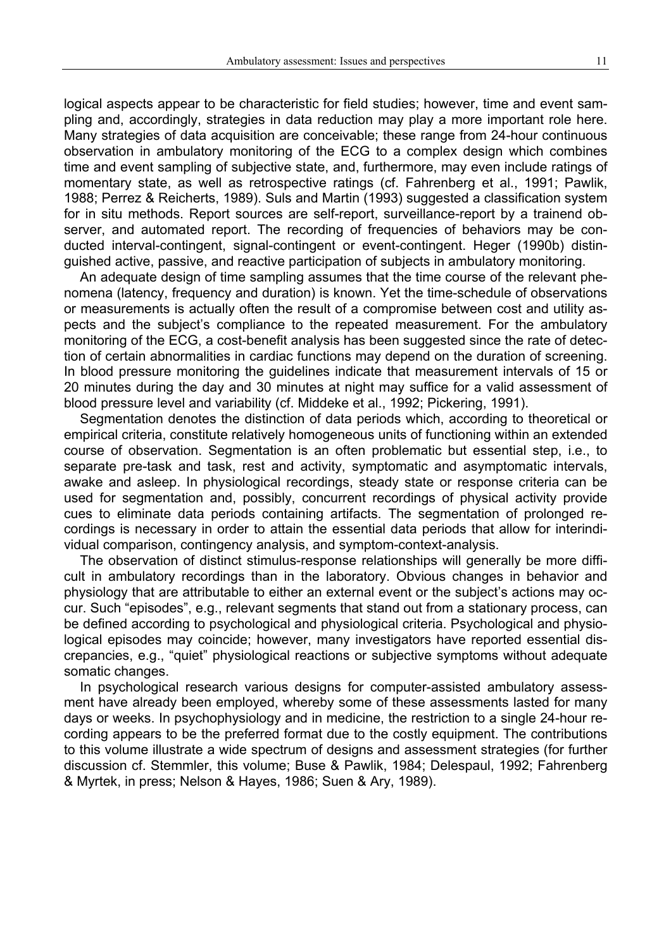logical aspects appear to be characteristic for field studies; however, time and event sampling and, accordingly, strategies in data reduction may play a more important role here. Many strategies of data acquisition are conceivable; these range from 24-hour continuous observation in ambulatory monitoring of the ECG to a complex design which combines time and event sampling of subjective state, and, furthermore, may even include ratings of momentary state, as well as retrospective ratings (cf. Fahrenberg et al., 1991; Pawlik, 1988; Perrez & Reicherts, 1989). Suls and Martin (1993) suggested a classification system for in situ methods. Report sources are self-report, surveillance-report by a trainend observer, and automated report. The recording of frequencies of behaviors may be conducted interval-contingent, signal-contingent or event-contingent. Heger (1990b) distinguished active, passive, and reactive participation of subjects in ambulatory monitoring.

An adequate design of time sampling assumes that the time course of the relevant phenomena (latency, frequency and duration) is known. Yet the time-schedule of observations or measurements is actually often the result of a compromise between cost and utility aspects and the subject's compliance to the repeated measurement. For the ambulatory monitoring of the ECG, a cost-benefit analysis has been suggested since the rate of detection of certain abnormalities in cardiac functions may depend on the duration of screening. In blood pressure monitoring the guidelines indicate that measurement intervals of 15 or 20 minutes during the day and 30 minutes at night may suffice for a valid assessment of blood pressure level and variability (cf. Middeke et al., 1992; Pickering, 1991).

Segmentation denotes the distinction of data periods which, according to theoretical or empirical criteria, constitute relatively homogeneous units of functioning within an extended course of observation. Segmentation is an often problematic but essential step, i.e., to separate pre-task and task, rest and activity, symptomatic and asymptomatic intervals, awake and asleep. In physiological recordings, steady state or response criteria can be used for segmentation and, possibly, concurrent recordings of physical activity provide cues to eliminate data periods containing artifacts. The segmentation of prolonged recordings is necessary in order to attain the essential data periods that allow for interindividual comparison, contingency analysis, and symptom-context-analysis.

The observation of distinct stimulus-response relationships will generally be more difficult in ambulatory recordings than in the laboratory. Obvious changes in behavior and physiology that are attributable to either an external event or the subject's actions may occur. Such "episodes", e.g., relevant segments that stand out from a stationary process, can be defined according to psychological and physiological criteria. Psychological and physiological episodes may coincide; however, many investigators have reported essential discrepancies, e.g., "quiet" physiological reactions or subjective symptoms without adequate somatic changes.

In psychological research various designs for computer-assisted ambulatory assessment have already been employed, whereby some of these assessments lasted for many days or weeks. In psychophysiology and in medicine, the restriction to a single 24-hour recording appears to be the preferred format due to the costly equipment. The contributions to this volume illustrate a wide spectrum of designs and assessment strategies (for further discussion cf. Stemmler, this volume; Buse & Pawlik, 1984; Delespaul, 1992; Fahrenberg & Myrtek, in press; Nelson & Hayes, 1986; Suen & Ary, 1989).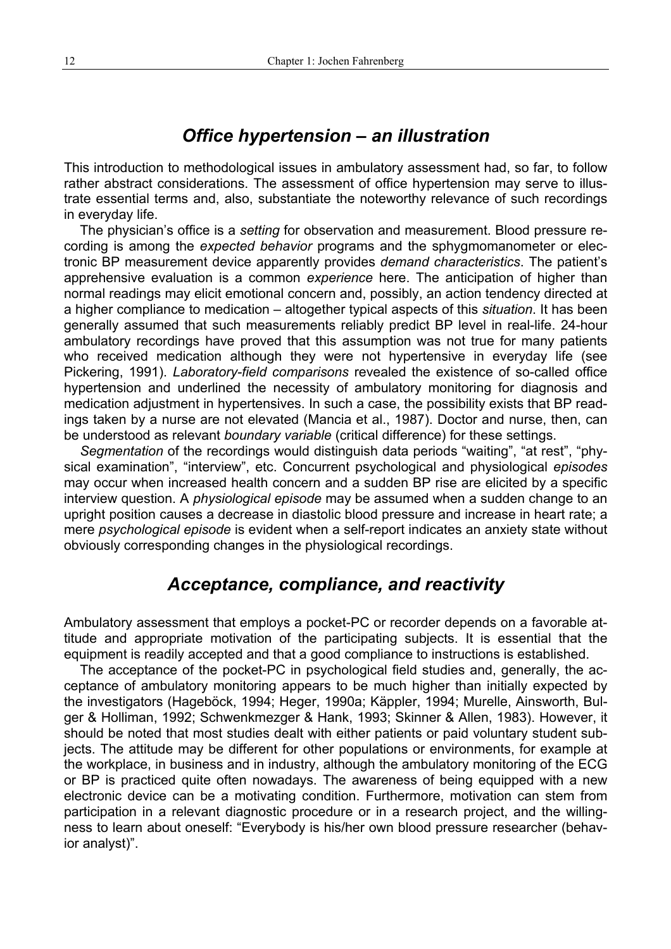### *Office hypertension – an illustration*

This introduction to methodological issues in ambulatory assessment had, so far, to follow rather abstract considerations. The assessment of office hypertension may serve to illustrate essential terms and, also, substantiate the noteworthy relevance of such recordings in everyday life.

The physician's office is a *setting* for observation and measurement. Blood pressure recording is among the *expected behavior* programs and the sphygmomanometer or electronic BP measurement device apparently provides *demand characteristics*. The patient's apprehensive evaluation is a common *experience* here. The anticipation of higher than normal readings may elicit emotional concern and, possibly, an action tendency directed at a higher compliance to medication – altogether typical aspects of this *situation*. It has been generally assumed that such measurements reliably predict BP level in real-life. 24-hour ambulatory recordings have proved that this assumption was not true for many patients who received medication although they were not hypertensive in everyday life (see Pickering, 1991). *Laboratory-field comparisons* revealed the existence of so-called office hypertension and underlined the necessity of ambulatory monitoring for diagnosis and medication adjustment in hypertensives. In such a case, the possibility exists that BP readings taken by a nurse are not elevated (Mancia et al., 1987). Doctor and nurse, then, can be understood as relevant *boundary variable* (critical difference) for these settings.

*Segmentation* of the recordings would distinguish data periods "waiting", "at rest", "physical examination", "interview", etc. Concurrent psychological and physiological *episodes* may occur when increased health concern and a sudden BP rise are elicited by a specific interview question. A *physiological episode* may be assumed when a sudden change to an upright position causes a decrease in diastolic blood pressure and increase in heart rate; a mere *psychological episode* is evident when a self-report indicates an anxiety state without obviously corresponding changes in the physiological recordings.

### *Acceptance, compliance, and reactivity*

Ambulatory assessment that employs a pocket-PC or recorder depends on a favorable attitude and appropriate motivation of the participating subjects. It is essential that the equipment is readily accepted and that a good compliance to instructions is established.

The acceptance of the pocket-PC in psychological field studies and, generally, the acceptance of ambulatory monitoring appears to be much higher than initially expected by the investigators (Hageböck, 1994; Heger, 1990a; Käppler, 1994; Murelle, Ainsworth, Bulger & Holliman, 1992; Schwenkmezger & Hank, 1993; Skinner & Allen, 1983). However, it should be noted that most studies dealt with either patients or paid voluntary student subjects. The attitude may be different for other populations or environments, for example at the workplace, in business and in industry, although the ambulatory monitoring of the ECG or BP is practiced quite often nowadays. The awareness of being equipped with a new electronic device can be a motivating condition. Furthermore, motivation can stem from participation in a relevant diagnostic procedure or in a research project, and the willingness to learn about oneself: "Everybody is his/her own blood pressure researcher (behavior analyst)".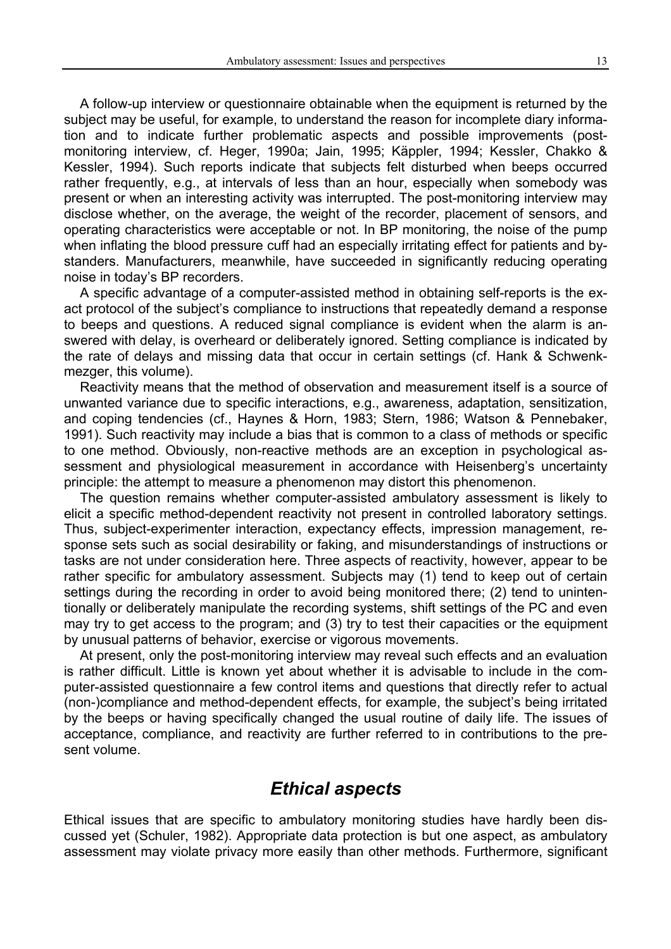A follow-up interview or questionnaire obtainable when the equipment is returned by the subject may be useful, for example, to understand the reason for incomplete diary information and to indicate further problematic aspects and possible improvements (postmonitoring interview, cf. Heger, 1990a; Jain, 1995; Käppler, 1994; Kessler, Chakko & Kessler, 1994). Such reports indicate that subjects felt disturbed when beeps occurred rather frequently, e.g., at intervals of less than an hour, especially when somebody was present or when an interesting activity was interrupted. The post-monitoring interview may disclose whether, on the average, the weight of the recorder, placement of sensors, and operating characteristics were acceptable or not. In BP monitoring, the noise of the pump when inflating the blood pressure cuff had an especially irritating effect for patients and bystanders. Manufacturers, meanwhile, have succeeded in significantly reducing operating noise in today's BP recorders.

A specific advantage of a computer-assisted method in obtaining self-reports is the exact protocol of the subject's compliance to instructions that repeatedly demand a response to beeps and questions. A reduced signal compliance is evident when the alarm is answered with delay, is overheard or deliberately ignored. Setting compliance is indicated by the rate of delays and missing data that occur in certain settings (cf. Hank & Schwenkmezger, this volume).

Reactivity means that the method of observation and measurement itself is a source of unwanted variance due to specific interactions, e.g., awareness, adaptation, sensitization, and coping tendencies (cf., Haynes & Horn, 1983; Stern, 1986; Watson & Pennebaker, 1991). Such reactivity may include a bias that is common to a class of methods or specific to one method. Obviously, non-reactive methods are an exception in psychological assessment and physiological measurement in accordance with Heisenberg's uncertainty principle: the attempt to measure a phenomenon may distort this phenomenon.

The question remains whether computer-assisted ambulatory assessment is likely to elicit a specific method-dependent reactivity not present in controlled laboratory settings. Thus, subject-experimenter interaction, expectancy effects, impression management, response sets such as social desirability or faking, and misunderstandings of instructions or tasks are not under consideration here. Three aspects of reactivity, however, appear to be rather specific for ambulatory assessment. Subjects may (1) tend to keep out of certain settings during the recording in order to avoid being monitored there; (2) tend to unintentionally or deliberately manipulate the recording systems, shift settings of the PC and even may try to get access to the program; and (3) try to test their capacities or the equipment by unusual patterns of behavior, exercise or vigorous movements.

At present, only the post-monitoring interview may reveal such effects and an evaluation is rather difficult. Little is known yet about whether it is advisable to include in the computer-assisted questionnaire a few control items and questions that directly refer to actual (non-)compliance and method-dependent effects, for example, the subject's being irritated by the beeps or having specifically changed the usual routine of daily life. The issues of acceptance, compliance, and reactivity are further referred to in contributions to the present volume.

#### *Ethical aspects*

Ethical issues that are specific to ambulatory monitoring studies have hardly been discussed yet (Schuler, 1982). Appropriate data protection is but one aspect, as ambulatory assessment may violate privacy more easily than other methods. Furthermore, significant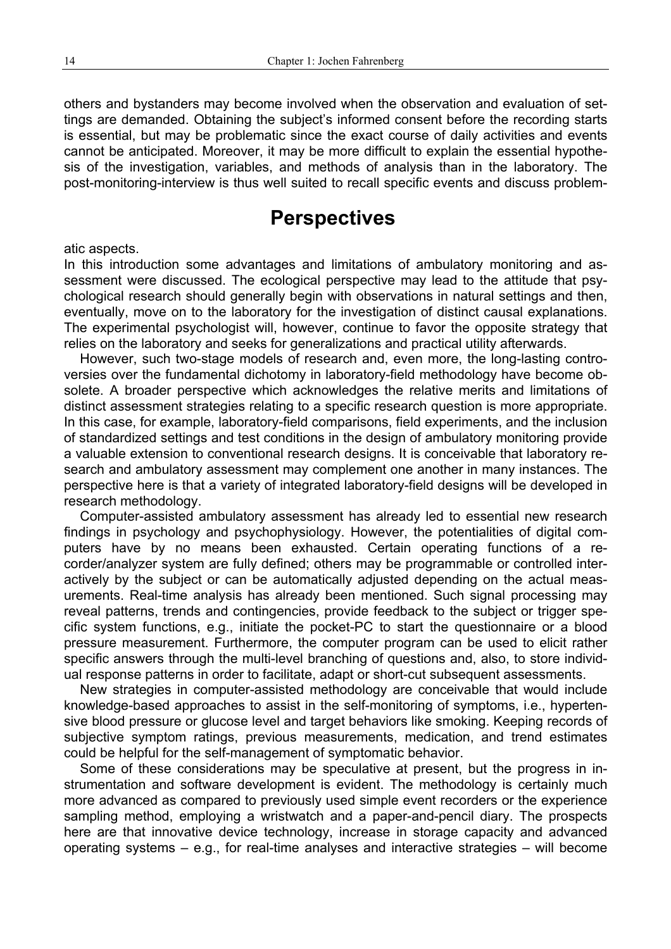others and bystanders may become involved when the observation and evaluation of settings are demanded. Obtaining the subject's informed consent before the recording starts is essential, but may be problematic since the exact course of daily activities and events cannot be anticipated. Moreover, it may be more difficult to explain the essential hypothesis of the investigation, variables, and methods of analysis than in the laboratory. The post-monitoring-interview is thus well suited to recall specific events and discuss problem-

# **Perspectives**

#### atic aspects.

In this introduction some advantages and limitations of ambulatory monitoring and assessment were discussed. The ecological perspective may lead to the attitude that psychological research should generally begin with observations in natural settings and then, eventually, move on to the laboratory for the investigation of distinct causal explanations. The experimental psychologist will, however, continue to favor the opposite strategy that relies on the laboratory and seeks for generalizations and practical utility afterwards.

However, such two-stage models of research and, even more, the long-lasting controversies over the fundamental dichotomy in laboratory-field methodology have become obsolete. A broader perspective which acknowledges the relative merits and limitations of distinct assessment strategies relating to a specific research question is more appropriate. In this case, for example, laboratory-field comparisons, field experiments, and the inclusion of standardized settings and test conditions in the design of ambulatory monitoring provide a valuable extension to conventional research designs. It is conceivable that laboratory research and ambulatory assessment may complement one another in many instances. The perspective here is that a variety of integrated laboratory-field designs will be developed in research methodology.

Computer-assisted ambulatory assessment has already led to essential new research findings in psychology and psychophysiology. However, the potentialities of digital computers have by no means been exhausted. Certain operating functions of a recorder/analyzer system are fully defined; others may be programmable or controlled interactively by the subject or can be automatically adjusted depending on the actual measurements. Real-time analysis has already been mentioned. Such signal processing may reveal patterns, trends and contingencies, provide feedback to the subject or trigger specific system functions, e.g., initiate the pocket-PC to start the questionnaire or a blood pressure measurement. Furthermore, the computer program can be used to elicit rather specific answers through the multi-level branching of questions and, also, to store individual response patterns in order to facilitate, adapt or short-cut subsequent assessments.

New strategies in computer-assisted methodology are conceivable that would include knowledge-based approaches to assist in the self-monitoring of symptoms, i.e., hypertensive blood pressure or glucose level and target behaviors like smoking. Keeping records of subjective symptom ratings, previous measurements, medication, and trend estimates could be helpful for the self-management of symptomatic behavior.

Some of these considerations may be speculative at present, but the progress in instrumentation and software development is evident. The methodology is certainly much more advanced as compared to previously used simple event recorders or the experience sampling method, employing a wristwatch and a paper-and-pencil diary. The prospects here are that innovative device technology, increase in storage capacity and advanced operating systems – e.g., for real-time analyses and interactive strategies – will become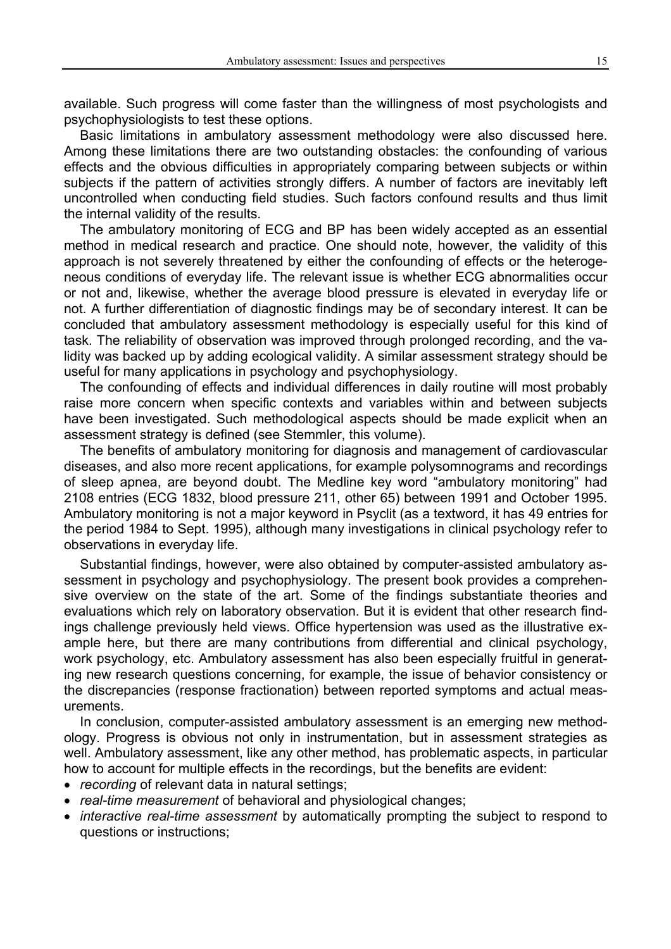available. Such progress will come faster than the willingness of most psychologists and psychophysiologists to test these options.

Basic limitations in ambulatory assessment methodology were also discussed here. Among these limitations there are two outstanding obstacles: the confounding of various effects and the obvious difficulties in appropriately comparing between subjects or within subjects if the pattern of activities strongly differs. A number of factors are inevitably left uncontrolled when conducting field studies. Such factors confound results and thus limit the internal validity of the results.

The ambulatory monitoring of ECG and BP has been widely accepted as an essential method in medical research and practice. One should note, however, the validity of this approach is not severely threatened by either the confounding of effects or the heterogeneous conditions of everyday life. The relevant issue is whether ECG abnormalities occur or not and, likewise, whether the average blood pressure is elevated in everyday life or not. A further differentiation of diagnostic findings may be of secondary interest. It can be concluded that ambulatory assessment methodology is especially useful for this kind of task. The reliability of observation was improved through prolonged recording, and the validity was backed up by adding ecological validity. A similar assessment strategy should be useful for many applications in psychology and psychophysiology.

The confounding of effects and individual differences in daily routine will most probably raise more concern when specific contexts and variables within and between subjects have been investigated. Such methodological aspects should be made explicit when an assessment strategy is defined (see Stemmler, this volume).

The benefits of ambulatory monitoring for diagnosis and management of cardiovascular diseases, and also more recent applications, for example polysomnograms and recordings of sleep apnea, are beyond doubt. The Medline key word "ambulatory monitoring" had 2108 entries (ECG 1832, blood pressure 211, other 65) between 1991 and October 1995. Ambulatory monitoring is not a major keyword in Psyclit (as a textword, it has 49 entries for the period 1984 to Sept. 1995), although many investigations in clinical psychology refer to observations in everyday life.

Substantial findings, however, were also obtained by computer-assisted ambulatory assessment in psychology and psychophysiology. The present book provides a comprehensive overview on the state of the art. Some of the findings substantiate theories and evaluations which rely on laboratory observation. But it is evident that other research findings challenge previously held views. Office hypertension was used as the illustrative example here, but there are many contributions from differential and clinical psychology, work psychology, etc. Ambulatory assessment has also been especially fruitful in generating new research questions concerning, for example, the issue of behavior consistency or the discrepancies (response fractionation) between reported symptoms and actual measurements.

In conclusion, computer-assisted ambulatory assessment is an emerging new methodology. Progress is obvious not only in instrumentation, but in assessment strategies as well. Ambulatory assessment, like any other method, has problematic aspects, in particular how to account for multiple effects in the recordings, but the benefits are evident:

- *recording* of relevant data in natural settings;
- *real-time measurement* of behavioral and physiological changes;
- *interactive real-time assessment* by automatically prompting the subject to respond to questions or instructions;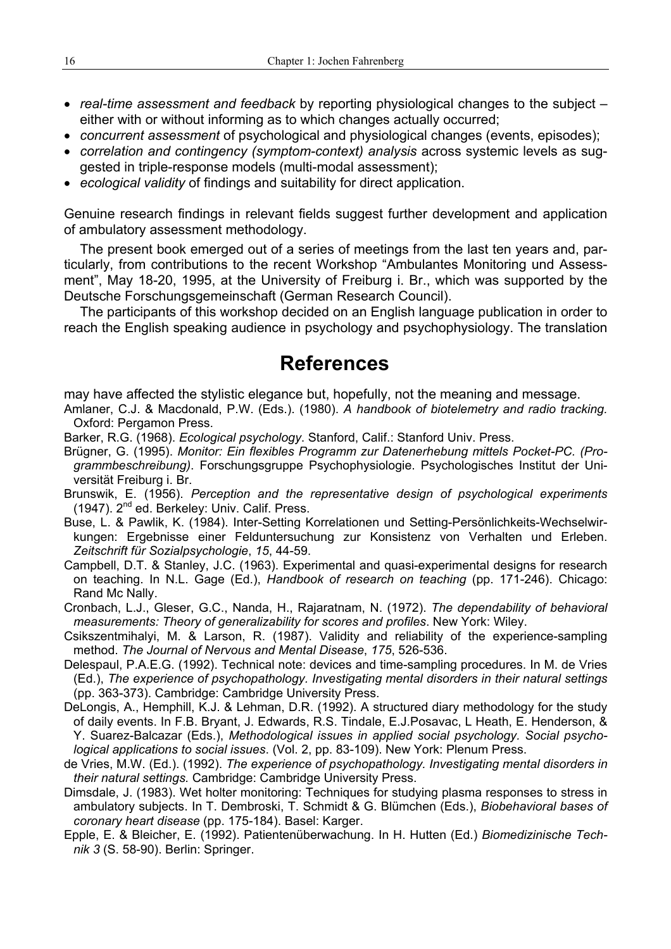- *real-time assessment and feedback* by reporting physiological changes to the subject either with or without informing as to which changes actually occurred;
- *concurrent assessment* of psychological and physiological changes (events, episodes);
- *correlation and contingency (symptom-context) analysis* across systemic levels as suggested in triple-response models (multi-modal assessment);
- *ecological validity* of findings and suitability for direct application.

Genuine research findings in relevant fields suggest further development and application of ambulatory assessment methodology.

The present book emerged out of a series of meetings from the last ten years and, particularly, from contributions to the recent Workshop "Ambulantes Monitoring und Assessment", May 18-20, 1995, at the University of Freiburg i. Br., which was supported by the Deutsche Forschungsgemeinschaft (German Research Council).

The participants of this workshop decided on an English language publication in order to reach the English speaking audience in psychology and psychophysiology. The translation

# **References**

may have affected the stylistic elegance but, hopefully, not the meaning and message.

- Amlaner, C.J. & Macdonald, P.W. (Eds.). (1980). *A handbook of biotelemetry and radio tracking.* Oxford: Pergamon Press.
- Barker, R.G. (1968). *Ecological psychology*. Stanford, Calif.: Stanford Univ. Press.
- Brügner, G. (1995). *Monitor: Ein flexibles Programm zur Datenerhebung mittels Pocket-PC. (Programmbeschreibung)*. Forschungsgruppe Psychophysiologie. Psychologisches Institut der Universität Freiburg i. Br.
- Brunswik, E. (1956). *Perception and the representative design of psychological experiments* (1947). 2nd ed. Berkeley: Univ. Calif. Press.
- Buse, L. & Pawlik, K. (1984). Inter-Setting Korrelationen und Setting-Persönlichkeits-Wechselwirkungen: Ergebnisse einer Felduntersuchung zur Konsistenz von Verhalten und Erleben. *Zeitschrift für Sozialpsychologie*, *15*, 44-59.
- Campbell, D.T. & Stanley, J.C. (1963). Experimental and quasi-experimental designs for research on teaching. In N.L. Gage (Ed.), *Handbook of research on teaching* (pp. 171-246). Chicago: Rand Mc Nally.

Cronbach, L.J., Gleser, G.C., Nanda, H., Rajaratnam, N. (1972). *The dependability of behavioral measurements: Theory of generalizability for scores and profiles*. New York: Wiley.

- Csikszentmihalyi, M. & Larson, R. (1987). Validity and reliability of the experience-sampling method. *The Journal of Nervous and Mental Disease*, *175*, 526-536.
- Delespaul, P.A.E.G. (1992). Technical note: devices and time-sampling procedures. In M. de Vries (Ed.), *The experience of psychopathology. Investigating mental disorders in their natural settings* (pp. 363-373). Cambridge: Cambridge University Press.
- DeLongis, A., Hemphill, K.J. & Lehman, D.R. (1992). A structured diary methodology for the study of daily events. In F.B. Bryant, J. Edwards, R.S. Tindale, E.J.Posavac, L Heath, E. Henderson, & Y. Suarez-Balcazar (Eds.), *Methodological issues in applied social psychology. Social psychological applications to social issues*. (Vol. 2, pp. 83-109). New York: Plenum Press.
- de Vries, M.W. (Ed.). (1992). *The experience of psychopathology. Investigating mental disorders in their natural settings.* Cambridge: Cambridge University Press.
- Dimsdale, J. (1983). Wet holter monitoring: Techniques for studying plasma responses to stress in ambulatory subjects. In T. Dembroski, T. Schmidt & G. Blümchen (Eds.), *Biobehavioral bases of coronary heart disease* (pp. 175-184). Basel: Karger.
- Epple, E. & Bleicher, E. (1992). Patientenüberwachung. In H. Hutten (Ed.) *Biomedizinische Technik 3* (S. 58-90). Berlin: Springer.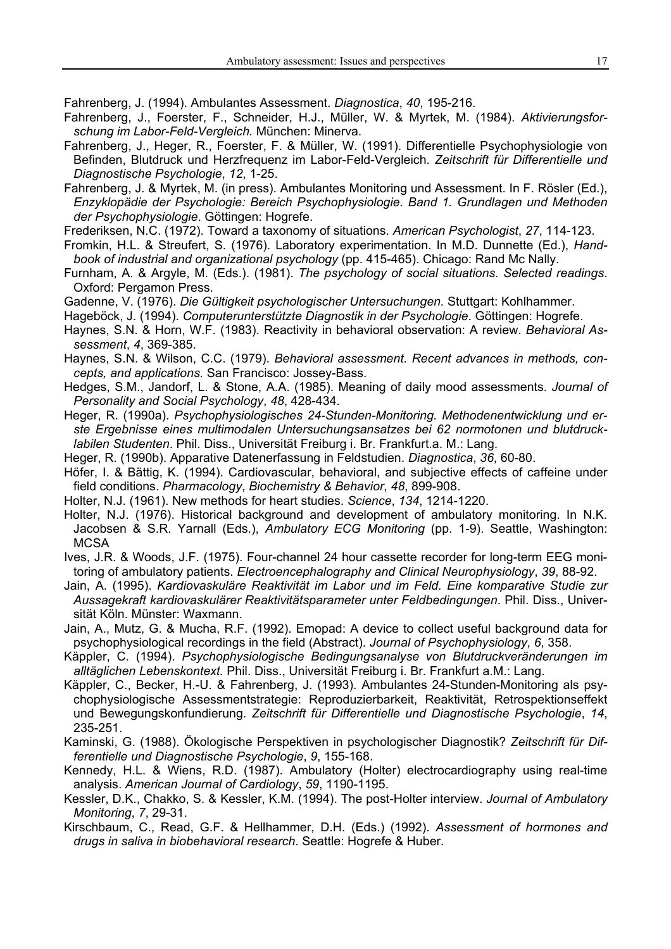Fahrenberg, J. (1994). Ambulantes Assessment. *Diagnostica*, *40*, 195-216.

- Fahrenberg, J., Foerster, F., Schneider, H.J., Müller, W. & Myrtek, M. (1984). *Aktivierungsforschung im Labor-Feld-Vergleich.* München: Minerva.
- Fahrenberg, J., Heger, R., Foerster, F. & Müller, W. (1991). Differentielle Psychophysiologie von Befinden, Blutdruck und Herzfrequenz im Labor-Feld-Vergleich. *Zeitschrift für Differentielle und Diagnostische Psychologie*, *12*, 1-25.
- Fahrenberg, J. & Myrtek, M. (in press). Ambulantes Monitoring und Assessment. In F. Rösler (Ed.), *Enzyklopädie der Psychologie: Bereich Psychophysiologie. Band 1. Grundlagen und Methoden der Psychophysiologie*. Göttingen: Hogrefe.
- Frederiksen, N.C. (1972). Toward a taxonomy of situations. *American Psychologist*, *27*, 114-123.
- Fromkin, H.L. & Streufert, S. (1976). Laboratory experimentation. In M.D. Dunnette (Ed.), *Handbook of industrial and organizational psychology* (pp. 415-465). Chicago: Rand Mc Nally.
- Furnham, A. & Argyle, M. (Eds.). (1981). *The psychology of social situations. Selected readings*. Oxford: Pergamon Press.
- Gadenne, V. (1976). *Die Gültigkeit psychologischer Untersuchungen.* Stuttgart: Kohlhammer.
- Hageböck, J. (1994). *Computerunterstützte Diagnostik in der Psychologie*. Göttingen: Hogrefe.
- Haynes, S.N. & Horn, W.F. (1983). Reactivity in behavioral observation: A review. *Behavioral Assessment*, *4*, 369-385.
- Haynes, S.N. & Wilson, C.C. (1979). *Behavioral assessment. Recent advances in methods, concepts, and applications.* San Francisco: Jossey-Bass.
- Hedges, S.M., Jandorf, L. & Stone, A.A. (1985). Meaning of daily mood assessments. *Journal of Personality and Social Psychology*, *48*, 428-434.
- Heger, R. (1990a). *Psychophysiologisches 24-Stunden-Monitoring. Methodenentwicklung und erste Ergebnisse eines multimodalen Untersuchungsansatzes bei 62 normotonen und blutdrucklabilen Studenten*. Phil. Diss., Universität Freiburg i. Br. Frankfurt.a. M.: Lang.
- Heger, R. (1990b). Apparative Datenerfassung in Feldstudien. *Diagnostica*, *36*, 60-80.
- Höfer, I. & Bättig, K. (1994). Cardiovascular, behavioral, and subjective effects of caffeine under field conditions. *Pharmacology*, *Biochemistry & Behavior*, *48*, 899-908.
- Holter, N.J. (1961). New methods for heart studies. *Science*, *134*, 1214-1220.
- Holter, N.J. (1976). Historical background and development of ambulatory monitoring. In N.K. Jacobsen & S.R. Yarnall (Eds.), *Ambulatory ECG Monitoring* (pp. 1-9). Seattle, Washington: **MCSA**
- Ives, J.R. & Woods, J.F. (1975). Four-channel 24 hour cassette recorder for long-term EEG monitoring of ambulatory patients. *Electroencephalography and Clinical Neurophysiology*, *39*, 88-92.
- Jain, A. (1995). *Kardiovaskuläre Reaktivität im Labor und im Feld. Eine komparative Studie zur Aussagekraft kardiovaskulärer Reaktivitätsparameter unter Feldbedingungen*. Phil. Diss., Universität Köln. Münster: Waxmann.
- Jain, A., Mutz, G. & Mucha, R.F. (1992). Emopad: A device to collect useful background data for psychophysiological recordings in the field (Abstract). *Journal of Psychophysiology*, *6*, 358.
- Käppler, C. (1994). *Psychophysiologische Bedingungsanalyse von Blutdruckveränderungen im alltäglichen Lebenskontext.* Phil. Diss., Universität Freiburg i. Br. Frankfurt a.M.: Lang.
- Käppler, C., Becker, H.-U. & Fahrenberg, J. (1993). Ambulantes 24-Stunden-Monitoring als psychophysiologische Assessmentstrategie: Reproduzierbarkeit, Reaktivität, Retrospektionseffekt und Bewegungskonfundierung. *Zeitschrift für Differentielle und Diagnostische Psychologie*, *14*, 235-251.
- Kaminski, G. (1988). Ökologische Perspektiven in psychologischer Diagnostik? *Zeitschrift für Differentielle und Diagnostische Psychologie*, *9*, 155-168.
- Kennedy, H.L. & Wiens, R.D. (1987). Ambulatory (Holter) electrocardiography using real-time analysis. *American Journal of Cardiology*, *59*, 1190-1195.
- Kessler, D.K., Chakko, S. & Kessler, K.M. (1994). The post-Holter interview. *Journal of Ambulatory Monitoring*, *7*, 29-31.
- Kirschbaum, C., Read, G.F. & Hellhammer, D.H. (Eds.) (1992). *Assessment of hormones and drugs in saliva in biobehavioral research*. Seattle: Hogrefe & Huber.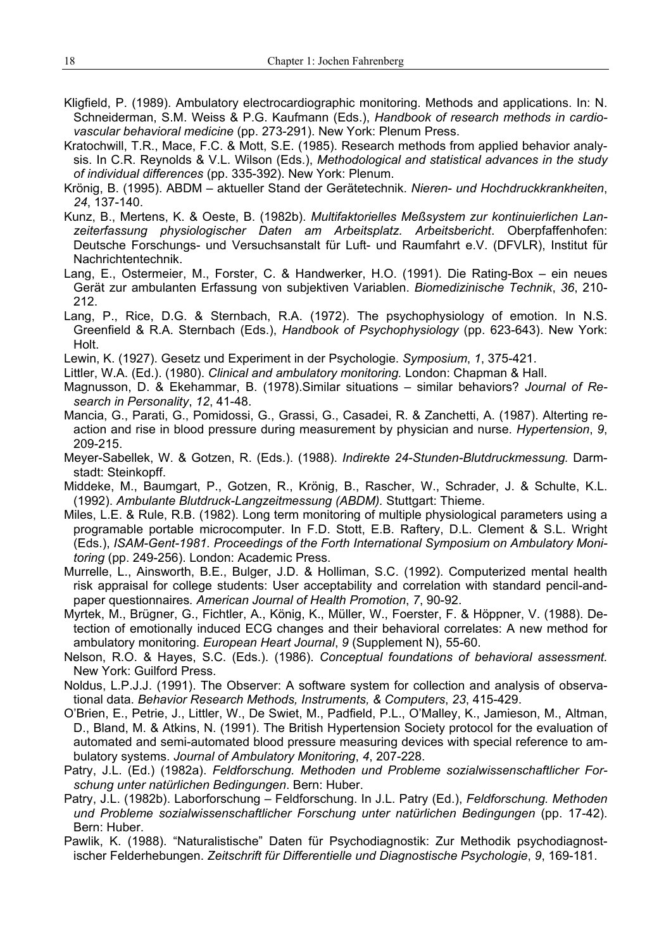- Kligfield, P. (1989). Ambulatory electrocardiographic monitoring. Methods and applications. In: N. Schneiderman, S.M. Weiss & P.G. Kaufmann (Eds.), *Handbook of research methods in cardiovascular behavioral medicine* (pp. 273-291). New York: Plenum Press.
- Kratochwill, T.R., Mace, F.C. & Mott, S.E. (1985). Research methods from applied behavior analysis. In C.R. Reynolds & V.L. Wilson (Eds.), *Methodological and statistical advances in the study of individual differences* (pp. 335-392). New York: Plenum.
- Krönig, B. (1995). ABDM aktueller Stand der Gerätetechnik. *Nieren- und Hochdruckkrankheiten*, *24*, 137-140.
- Kunz, B., Mertens, K. & Oeste, B. (1982b). *Multifaktorielles Meßsystem zur kontinuierlichen Lanzeiterfassung physiologischer Daten am Arbeitsplatz. Arbeitsbericht*. Oberpfaffenhofen: Deutsche Forschungs- und Versuchsanstalt für Luft- und Raumfahrt e.V. (DFVLR), Institut für Nachrichtentechnik.
- Lang, E., Ostermeier, M., Forster, C. & Handwerker, H.O. (1991). Die Rating-Box ein neues Gerät zur ambulanten Erfassung von subjektiven Variablen. *Biomedizinische Technik*, *36*, 210- 212.
- Lang, P., Rice, D.G. & Sternbach, R.A. (1972). The psychophysiology of emotion. In N.S. Greenfield & R.A. Sternbach (Eds.), *Handbook of Psychophysiology* (pp. 623-643). New York: Holt.
- Lewin, K. (1927). Gesetz und Experiment in der Psychologie. *Symposium*, *1*, 375-421.
- Littler, W.A. (Ed.). (1980). *Clinical and ambulatory monitoring.* London: Chapman & Hall.
- Magnusson, D. & Ekehammar, B. (1978).Similar situations similar behaviors? *Journal of Research in Personality*, *12*, 41-48.
- Mancia, G., Parati, G., Pomidossi, G., Grassi, G., Casadei, R. & Zanchetti, A. (1987). Alterting reaction and rise in blood pressure during measurement by physician and nurse. *Hypertension*, *9*, 209-215.
- Meyer-Sabellek, W. & Gotzen, R. (Eds.). (1988). *Indirekte 24-Stunden-Blutdruckmessung.* Darmstadt: Steinkopff.
- Middeke, M., Baumgart, P., Gotzen, R., Krönig, B., Rascher, W., Schrader, J. & Schulte, K.L. (1992). *Ambulante Blutdruck-Langzeitmessung (ABDM).* Stuttgart: Thieme.
- Miles, L.E. & Rule, R.B. (1982). Long term monitoring of multiple physiological parameters using a programable portable microcomputer. In F.D. Stott, E.B. Raftery, D.L. Clement & S.L. Wright (Eds.), *ISAM-Gent-1981. Proceedings of the Forth International Symposium on Ambulatory Monitoring* (pp. 249-256). London: Academic Press.
- Murrelle, L., Ainsworth, B.E., Bulger, J.D. & Holliman, S.C. (1992). Computerized mental health risk appraisal for college students: User acceptability and correlation with standard pencil-andpaper questionnaires*. American Journal of Health Promotion*, *7*, 90-92.
- Myrtek, M., Brügner, G., Fichtler, A., König, K., Müller, W., Foerster, F. & Höppner, V. (1988). Detection of emotionally induced ECG changes and their behavioral correlates: A new method for ambulatory monitoring. *European Heart Journal*, *9* (Supplement N), 55-60.
- Nelson, R.O. & Hayes, S.C. (Eds.). (1986). *Conceptual foundations of behavioral assessment.* New York: Guilford Press.
- Noldus, L.P.J.J. (1991). The Observer: A software system for collection and analysis of observational data. *Behavior Research Methods, Instruments, & Computers*, *23*, 415-429.
- O'Brien, E., Petrie, J., Littler, W., De Swiet, M., Padfield, P.L., O'Malley, K., Jamieson, M., Altman, D., Bland, M. & Atkins, N. (1991). The British Hypertension Society protocol for the evaluation of automated and semi-automated blood pressure measuring devices with special reference to ambulatory systems. *Journal of Ambulatory Monitoring*, *4*, 207-228.
- Patry, J.L. (Ed.) (1982a). *Feldforschung. Methoden und Probleme sozialwissenschaftlicher Forschung unter natürlichen Bedingungen*. Bern: Huber.
- Patry, J.L. (1982b). Laborforschung Feldforschung. In J.L. Patry (Ed.), *Feldforschung. Methoden und Probleme sozialwissenschaftlicher Forschung unter natürlichen Bedingungen* (pp. 17-42). Bern: Huber.
- Pawlik, K. (1988). "Naturalistische" Daten für Psychodiagnostik: Zur Methodik psychodiagnostischer Felderhebungen. *Zeitschrift für Differentielle und Diagnostische Psychologie*, *9*, 169-181.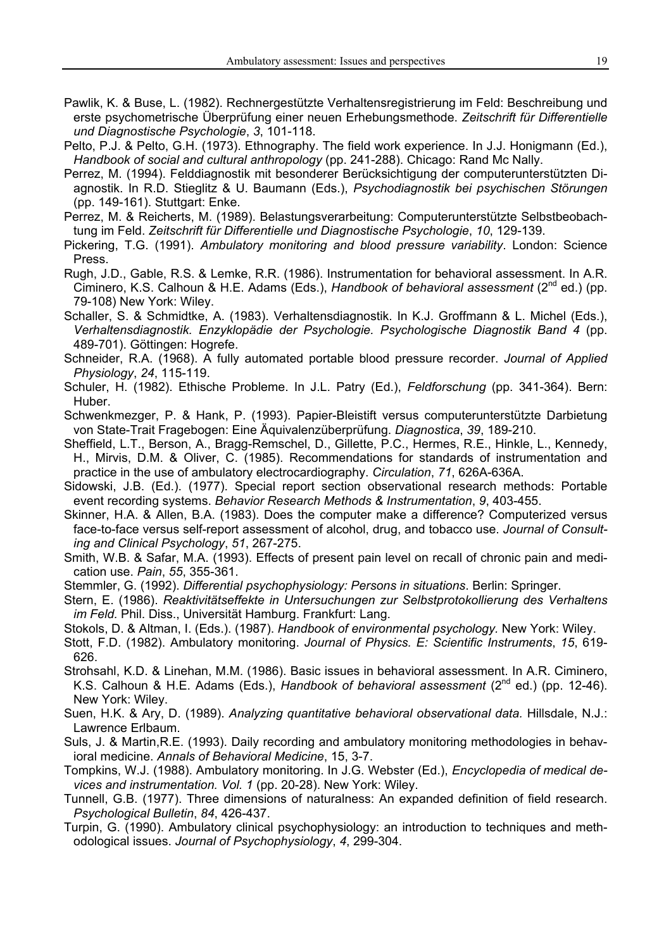- Pawlik, K. & Buse, L. (1982). Rechnergestützte Verhaltensregistrierung im Feld: Beschreibung und erste psychometrische Überprüfung einer neuen Erhebungsmethode. *Zeitschrift für Differentielle und Diagnostische Psychologie*, *3*, 101-118.
- Pelto, P.J. & Pelto, G.H. (1973). Ethnography. The field work experience. In J.J. Honigmann (Ed.), *Handbook of social and cultural anthropology* (pp. 241-288). Chicago: Rand Mc Nally.
- Perrez, M. (1994). Felddiagnostik mit besonderer Berücksichtigung der computerunterstützten Diagnostik. In R.D. Stieglitz & U. Baumann (Eds.), *Psychodiagnostik bei psychischen Störungen* (pp. 149-161). Stuttgart: Enke.
- Perrez, M. & Reicherts, M. (1989). Belastungsverarbeitung: Computerunterstützte Selbstbeobachtung im Feld. *Zeitschrift für Differentielle und Diagnostische Psychologie*, *10*, 129-139.
- Pickering, T.G. (1991). *Ambulatory monitoring and blood pressure variability*. London: Science Press.
- Rugh, J.D., Gable, R.S. & Lemke, R.R. (1986). Instrumentation for behavioral assessment. In A.R. Ciminero, K.S. Calhoun & H.E. Adams (Eds.), *Handbook of behavioral assessment* (2nd ed.) (pp. 79-108) New York: Wiley.
- Schaller, S. & Schmidtke, A. (1983). Verhaltensdiagnostik. In K.J. Groffmann & L. Michel (Eds.), *Verhaltensdiagnostik. Enzyklopädie der Psychologie. Psychologische Diagnostik Band 4* (pp. 489-701). Göttingen: Hogrefe.
- Schneider, R.A. (1968). A fully automated portable blood pressure recorder. *Journal of Applied Physiology*, *24*, 115-119.
- Schuler, H. (1982). Ethische Probleme. In J.L. Patry (Ed.), *Feldforschung* (pp. 341-364). Bern: Huber.
- Schwenkmezger, P. & Hank, P. (1993). Papier-Bleistift versus computerunterstützte Darbietung von State-Trait Fragebogen: Eine Äquivalenzüberprüfung. *Diagnostica*, *39*, 189-210.
- Sheffield, L.T., Berson, A., Bragg-Remschel, D., Gillette, P.C., Hermes, R.E., Hinkle, L., Kennedy, H., Mirvis, D.M. & Oliver, C. (1985). Recommendations for standards of instrumentation and practice in the use of ambulatory electrocardiography. *Circulation*, *71*, 626A-636A.
- Sidowski, J.B. (Ed.). (1977). Special report section observational research methods: Portable event recording systems. *Behavior Research Methods & Instrumentation*, *9*, 403-455.
- Skinner, H.A. & Allen, B.A. (1983). Does the computer make a difference? Computerized versus face-to-face versus self-report assessment of alcohol, drug, and tobacco use. *Journal of Consulting and Clinical Psychology*, *51*, 267-275.
- Smith, W.B. & Safar, M.A. (1993). Effects of present pain level on recall of chronic pain and medication use. *Pain*, *55*, 355-361.
- Stemmler, G. (1992). *Differential psychophysiology: Persons in situations*. Berlin: Springer.
- Stern, E. (1986). *Reaktivitätseffekte in Untersuchungen zur Selbstprotokollierung des Verhaltens im Feld.* Phil. Diss., Universität Hamburg. Frankfurt: Lang.
- Stokols, D. & Altman, I. (Eds.). (1987). *Handbook of environmental psychology.* New York: Wiley.
- Stott, F.D. (1982). Ambulatory monitoring. *Journal of Physics. E: Scientific Instruments*, *15*, 619- 626.
- Strohsahl, K.D. & Linehan, M.M. (1986). Basic issues in behavioral assessment. In A.R. Ciminero, K.S. Calhoun & H.E. Adams (Eds.), *Handbook of behavioral assessment* (2nd ed.) (pp. 12-46). New York: Wiley.
- Suen, H.K. & Ary, D. (1989). *Analyzing quantitative behavioral observational data.* Hillsdale, N.J.: Lawrence Erlbaum.
- Suls, J. & Martin,R.E. (1993). Daily recording and ambulatory monitoring methodologies in behavioral medicine. *Annals of Behavioral Medicine*, 15, 3-7.
- Tompkins, W.J. (1988). Ambulatory monitoring. In J.G. Webster (Ed.), *Encyclopedia of medical devices and instrumentation. Vol. 1* (pp. 20-28). New York: Wiley.
- Tunnell, G.B. (1977). Three dimensions of naturalness: An expanded definition of field research. *Psychological Bulletin*, *84*, 426-437.
- Turpin, G. (1990). Ambulatory clinical psychophysiology: an introduction to techniques and methodological issues. *Journal of Psychophysiology*, *4*, 299-304.